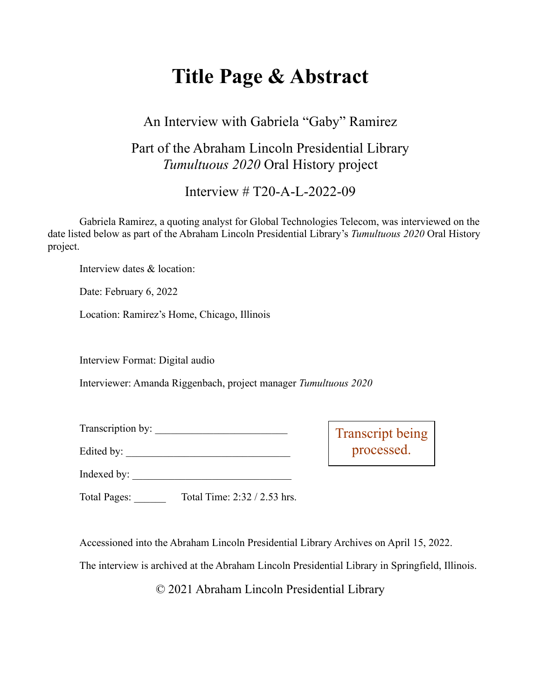# **Title Page & Abstract**

### An Interview with Gabriela "Gaby" Ramirez

### Part of the Abraham Lincoln Presidential Library *Tumultuous 2020* Oral History project

Interview # T20-A-L-2022-09

Gabriela Ramirez, a quoting analyst for Global Technologies Telecom, was interviewed on the date listed below as part of the Abraham Lincoln Presidential Library's *Tumultuous 2020* Oral History project.

Interview dates & location:

Date: February 6, 2022

Location: Ramirez's Home, Chicago, Illinois

Interview Format: Digital audio

Interviewer: Amanda Riggenbach, project manager *Tumultuous 2020*

Transcription by:

Edited by: \_\_\_\_\_\_\_\_\_\_\_\_\_\_\_\_\_\_\_\_\_\_\_\_\_\_\_\_\_\_\_

Transcript being processed.

Indexed by: \_\_\_\_\_\_\_\_\_\_\_\_\_\_\_\_\_\_\_\_\_\_\_\_\_\_\_\_\_\_

Total Pages: Total Time: 2:32 / 2.53 hrs.

Accessioned into the Abraham Lincoln Presidential Library Archives on April 15, 2022.

The interview is archived at the Abraham Lincoln Presidential Library in Springfield, Illinois.

© 2021 Abraham Lincoln Presidential Library